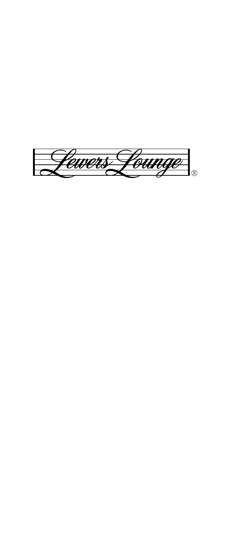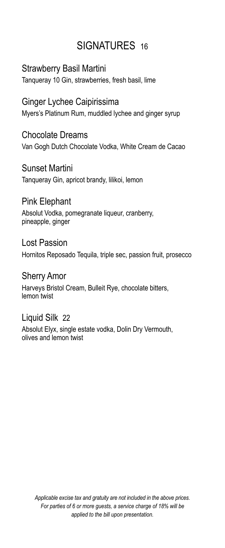# SIGNATURES 16

### Strawberry Basil Martini

Tanqueray 10 Gin, strawberries, fresh basil, lime

### Ginger Lychee Caipirissima

Myers's Platinum Rum, muddled lychee and ginger syrup

### Chocolate Dreams

Van Gogh Dutch Chocolate Vodka, White Cream de Cacao

#### Sunset Martini

Tanqueray Gin, apricot brandy, lilikoi, lemon

### Pink Elephant

Absolut Vodka, pomegranate liqueur, cranberry, pineapple, ginger

#### Lost Passion

Hornitos Reposado Tequila, triple sec, passion fruit, prosecco

#### Sherry Amor

Harveys Bristol Cream, Bulleit Rye, chocolate bitters, lemon twist

#### Liquid Silk 22

Absolut Elyx, single estate vodka, Dolin Dry Vermouth, olives and lemon twist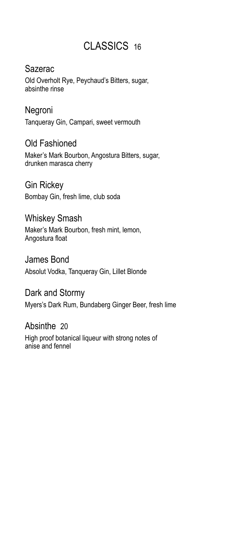# CLASSICS 16

#### Sazerac

Old Overholt Rye, Peychaud's Bitters, sugar, absinthe rinse

#### Negroni

Tanqueray Gin, Campari, sweet vermouth

### Old Fashioned

Maker's Mark Bourbon, Angostura Bitters, sugar, drunken marasca cherry

#### Gin Rickey

Bombay Gin, fresh lime, club soda

### Whiskey Smash

Maker's Mark Bourbon, fresh mint, lemon, Angostura float

#### James Bond

Absolut Vodka, Tanqueray Gin, Lillet Blonde

#### Dark and Stormy

Myers's Dark Rum, Bundaberg Ginger Beer, fresh lime

#### Absinthe 20

High proof botanical liqueur with strong notes of anise and fennel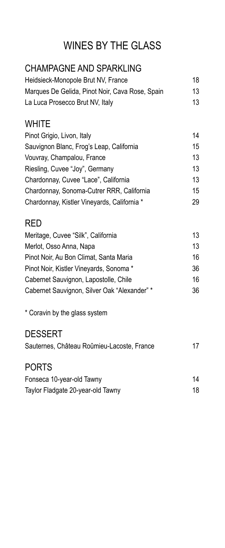# WINES BY THE GLASS

# CHAMPAGNE AND SPARKLING

| Heidsieck-Monopole Brut NV, France              | 18 |
|-------------------------------------------------|----|
| Marques De Gelida, Pinot Noir, Cava Rose, Spain | 13 |
| La Luca Prosecco Brut NV, Italy                 | 13 |

## **WHITE**

| Pinot Grigio, Livon, Italy                  | 14 |
|---------------------------------------------|----|
| Sauvignon Blanc, Frog's Leap, California    | 15 |
| Vouvray, Champalou, France                  | 13 |
| Riesling, Cuvee "Joy", Germany              | 13 |
| Chardonnay, Cuvee "Lace", California        | 13 |
| Chardonnay, Sonoma-Cutrer RRR, California   | 15 |
| Chardonnay, Kistler Vineyards, California * | 29 |

## RED

| Meritage, Cuvee "Silk", California           | 13  |
|----------------------------------------------|-----|
| Merlot, Osso Anna, Napa                      | 13  |
| Pinot Noir, Au Bon Climat, Santa Maria       | 16. |
| Pinot Noir, Kistler Vineyards, Sonoma *      | 36  |
| Cabernet Sauvignon, Lapostolle, Chile        | 16  |
| Cabernet Sauvignon, Silver Oak "Alexander" * | 36  |

\* Coravin by the glass system

### **DESSERT**

|  | Sauternes, Château Roûmieu-Lacoste, France | 17 |
|--|--------------------------------------------|----|
|--|--------------------------------------------|----|

### PORTS

| Fonseca 10-year-old Tawny         | 14 |
|-----------------------------------|----|
| Taylor Fladgate 20-year-old Tawny | 18 |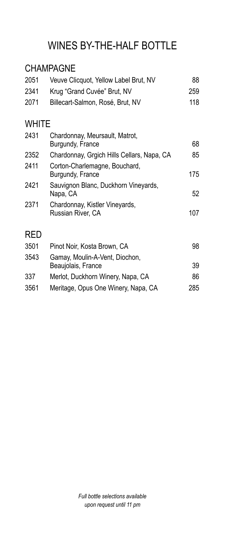# WINES BY-THE-HALF BOTTLE

## CHAMPAGNE

| 2051         | Veuve Clicquot, Yellow Label Brut, NV                | 88  |
|--------------|------------------------------------------------------|-----|
| 2341         | Krug "Grand Cuvée" Brut, NV                          | 259 |
| 2071         | Billecart-Salmon, Rosé, Brut, NV                     | 118 |
| <b>WHITE</b> |                                                      |     |
| 2431         | Chardonnay, Meursault, Matrot,<br>Burgundy, France   | 68  |
| 2352         | Chardonnay, Grgich Hills Cellars, Napa, CA           | 85  |
| 2411         | Corton-Charlemagne, Bouchard,<br>Burgundy, France    | 175 |
| 2421         | Sauvignon Blanc, Duckhorn Vineyards,<br>Napa, CA     | 52  |
| 2371         | Chardonnay, Kistler Vineyards,<br>Russian River, CA  | 107 |
| RED          |                                                      |     |
| 3501         | Pinot Noir, Kosta Brown, CA                          | 98  |
| 3543         | Gamay, Moulin-A-Vent, Diochon,<br>Beaujolais, France | 39  |
| 337          | Merlot, Duckhorn Winery, Napa, CA                    | 86  |
| 3561         | Meritage, Opus One Winery, Napa, CA                  | 285 |

*Full bottle selections available upon request until 11 pm*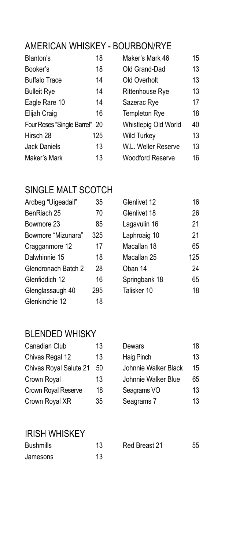# AMERICAN WHISKEY - BOURBON/RYE

| Blanton's                     | 18  | Maker's Mark 46         | 15 |
|-------------------------------|-----|-------------------------|----|
| Booker's                      | 18  | Old Grand-Dad           | 13 |
| <b>Buffalo Trace</b>          | 14  | Old Overholt            | 13 |
| <b>Bulleit Rye</b>            | 14  | <b>Rittenhouse Rye</b>  | 13 |
| Eagle Rare 10                 | 14  | Sazerac Rye             | 17 |
| Elijah Craig                  | 16  | <b>Templeton Rye</b>    | 18 |
| Four Roses "Single Barrel" 20 |     | Whistlepig Old World    | 40 |
| Hirsch 28                     | 125 | <b>Wild Turkey</b>      | 13 |
| <b>Jack Daniels</b>           | 13  | W.L. Weller Reserve     | 13 |
| Maker's Mark                  | 13  | <b>Woodford Reserve</b> | 16 |
|                               |     |                         |    |

| Blanton's                     | 18  | Maker's Mark 46         | 15 |
|-------------------------------|-----|-------------------------|----|
| Booker's                      | 18  | Old Grand-Dad           | 13 |
| <b>Buffalo Trace</b>          | 14  | Old Overholt            | 13 |
| <b>Bulleit Rye</b>            | 14  | <b>Rittenhouse Rye</b>  | 13 |
| Eagle Rare 10                 | 14  | Sazerac Rye             | 17 |
| Elijah Craig                  | 16  | <b>Templeton Rye</b>    | 18 |
| Four Roses "Single Barrel" 20 |     | Whistlepig Old World    | 40 |
| Hirsch 28                     | 125 | <b>Wild Turkey</b>      | 13 |
| <b>Jack Daniels</b>           | 13  | W.L. Weller Reserve     | 13 |
| Maker's Mark                  | 13  | <b>Woodford Reserve</b> | 16 |

## SINGLE MALT SCOTCH

| Ardbeg "Uigeadail"  | 35  | Glenlivet 12  | 16  |
|---------------------|-----|---------------|-----|
| BenRiach 25         | 70  | Glenlivet 18  | 26  |
| Bowmore 23          | 85  | Lagavulin 16  | 21  |
| Bowmore "Mizunara"  | 325 | Laphroaig 10  | 21  |
| Cragganmore 12      | 17  | Macallan 18   | 65  |
| Dalwhinnie 15       | 18  | Macallan 25   | 125 |
| Glendronach Batch 2 | 28  | Oban 14       | 24  |
| Glenfiddich 12      | 16  | Springbank 18 | 65  |
| Glenglassaugh 40    | 295 | Talisker 10   | 18  |
| Glenkinchie 12      | 18  |               |     |

| Glenlivet 12  | 16  |
|---------------|-----|
| Glenlivet 18  | 26  |
| Lagavulin 16  | 21  |
| Laphroaig 10  | 21  |
| Macallan 18   | 65  |
| Macallan 25   | 125 |
| Oban 14       | 24  |
| Springbank 18 | 65  |
| Talisker 10   | 18  |

# BLENDED WHISKY

| Canadian Club          | 13 | Dewars               | 18 |
|------------------------|----|----------------------|----|
| Chivas Regal 12        | 13 | Haig Pinch           | 13 |
| Chivas Royal Salute 21 | 50 | Johnnie Walker Black | 15 |
| Crown Royal            | 13 | Johnnie Walker Blue  | 65 |
| Crown Royal Reserve    | 18 | Seagrams VO          | 13 |
| Crown Roval XR         | 35 | Seagrams 7           | 13 |

| Canadian Club          | 13 | Dewars               | 18 |
|------------------------|----|----------------------|----|
| Chivas Regal 12        | 13 | Haig Pinch           | 13 |
| Chivas Royal Salute 21 | 50 | Johnnie Walker Black | 15 |
| Crown Royal            | 13 | Johnnie Walker Blue  | 65 |
| Crown Royal Reserve    | 18 | Seagrams VO          | 13 |
| Crown Royal XR         | 35 | Seagrams 7           | 13 |

### IRISH WHISKEY

| <b>Bushmills</b> | 13 | Red Breast 21 | 55 |
|------------------|----|---------------|----|
| Jamesons         | 13 |               |    |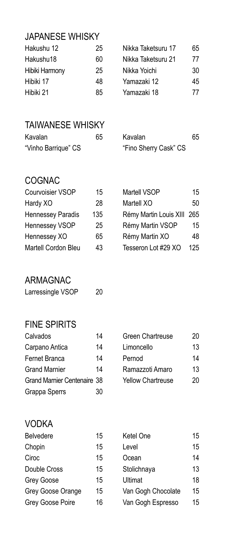# JAPANESE WHISKY

| Hakushu 12     | 25 |
|----------------|----|
| Hakushu18      | 60 |
| Hibiki Harmony | 25 |
| Hibiki 17      | 48 |
| Hibiki 21      | 85 |

| Hakushu 12     | 25 | Nikka Taketsuru 17 | 65 |
|----------------|----|--------------------|----|
| Hakushu18      | 60 | Nikka Taketsuru 21 | 77 |
| Hibiki Harmony | 25 | Nikka Yoichi       | 30 |
| Hibiki 17      | 48 | Yamazaki 12        | 45 |
| Hibiki 21      | 85 | Yamazaki 18        | 77 |

## TAIWANESE WHISKY

| Kavalan             | 65 | Kavalan               | 65 |
|---------------------|----|-----------------------|----|
| "Vinho Barrique" CS |    | "Fino Sherry Cask" CS |    |

### COGNAC

| Courvoisier VSOP    | 15  | Martell VSOP               | 15  |
|---------------------|-----|----------------------------|-----|
| Hardy XO            | 28  | Martell XO                 | 50  |
| Hennessey Paradis   | 135 | Rémy Martin Louis XIII 265 |     |
| Hennessey VSOP      | 25  | Rémy Martin VSOP           | 15  |
| Hennessey XO        | 65  | Rémy Martin XO             | 48  |
| Martell Cordon Bleu | 43  | Tesseron Lot #29 XO        | 125 |

| Courvoisier VSOP    | 15  | Martell VSOP               | 15  |
|---------------------|-----|----------------------------|-----|
| Hardy XO            | 28  | Martell XO                 | 50  |
| Hennessey Paradis   | 135 | Rémy Martin Louis XIII 265 |     |
| Hennessey VSOP      | 25  | Rémy Martin VSOP           | 15  |
| Hennessey XO        | 65  | Rémy Martin XO             | 48  |
| Martell Cordon Bleu | 43  | Tesseron Lot #29 XO        | 125 |

### ARMAGNAC

| Larressingle VSOP | 20 |
|-------------------|----|
|                   |    |

## FINE SPIRITS

| Calvados                           | 14 | <b>Green Chartreuse</b>  | 20 |
|------------------------------------|----|--------------------------|----|
| Carpano Antica                     | 14 | Limoncello               | 13 |
| Fernet Branca                      | 14 | Pernod                   | 14 |
| <b>Grand Marnier</b>               | 14 | Ramazzoti Amaro          | 13 |
| <b>Grand Marnier Centenaire 38</b> |    | <b>Yellow Chartreuse</b> | 20 |
| Grappa Sperrs                      | 30 |                          |    |

| Green Chartreuse         | 20 |
|--------------------------|----|
| Limoncello               | 13 |
| Pernod                   | 14 |
| Ramazzoti Amaro          | 13 |
| <b>Yellow Chartreuse</b> | 20 |

## VODKA

| 15 |
|----|
| 15 |
| 15 |
| 15 |
| 15 |
| 15 |
| 16 |
|    |

| <b>Belvedere</b>  | 15 | Ketel One          | 15 |
|-------------------|----|--------------------|----|
| Chopin            | 15 | Level              | 15 |
| Ciroc             | 15 | Ocean              | 14 |
| Double Cross      | 15 | Stolichnaya        | 13 |
| Grey Goose        | 15 | Ultimat            | 18 |
| Grey Goose Orange | 15 | Van Gogh Chocolate | 15 |
| Grey Goose Poire  | 16 | Van Gogh Espresso  | 15 |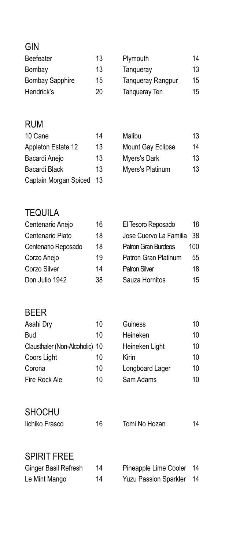### **GIN**

| <b>Beefeater</b>       | 13 |
|------------------------|----|
| Bombay                 | 13 |
| <b>Bombay Sapphire</b> | 15 |
| Hendrick's             | 20 |

Plymouth 14 Tanqueray 13 Tanqueray Rangpur 15 Tanqueray Ten 15

### RUM

| 14                           |                   | 13     |
|------------------------------|-------------------|--------|
| 13                           | Mount Gay Eclipse | 14     |
| 13                           | Myers's Dark      | 13     |
| 13                           | Myers's Platinum  | 13     |
| Captain Morgan Spiced<br>-13 |                   |        |
|                              |                   | Malibu |

| Malibu            | 13 |
|-------------------|----|
| Mount Gay Eclipse | 14 |
| Myers's Dark      | 13 |
| Myers's Platinum  | 13 |

## **TEQUILA**

| Centenario Anejo    | 16 |
|---------------------|----|
| Centenario Plato    | 18 |
| Centenario Reposado | 18 |
| Corzo Anejo         | 19 |
| Corzo Silver        | 14 |
| Don Julio 1942      | 38 |

### El Tesoro Reposado 18 Jose Cuervo La Familia 38 Patron Gran Burdeos 100 Patron Gran Platinum 55 Patron Silver 18 Sauza Hornitos 15

# BEER

| Asahi Dry                      | 10 | Guiness         | 10 |
|--------------------------------|----|-----------------|----|
| <b>Bud</b>                     | 10 | Heineken        | 10 |
| Clausthaler (Non-Alcoholic) 10 |    | Heineken Light  | 10 |
| Coors Light                    | 10 | Kirin           | 10 |
| Corona                         | 10 | Longboard Lager | 10 |
| Fire Rock Ale                  | 10 | Sam Adams       | 10 |

### **SHOCHU**

| lichiko Frasco | 16 |  |
|----------------|----|--|
|                |    |  |

### SPIRIT FREE

| Ginger Basil Refresh | 14 |
|----------------------|----|
| Le Mint Mango        | 14 |

| Asahi Dry                      | 10 | Guiness         | 10 |
|--------------------------------|----|-----------------|----|
| Bud                            | 10 | Heineken        | 10 |
| Clausthaler (Non-Alcoholic) 10 |    | Heineken Light  | 10 |
| Coors Light                    | 10 | Kirin           | 10 |
| Corona                         | 10 | Longboard Lager | 10 |
| Fire Rock Ale                  | 10 | Sam Adams       | 10 |
|                                |    |                 |    |

| lichiko Frasco | 16 | Tomi No Hozan | 14 |
|----------------|----|---------------|----|
|                |    |               |    |

#### Pineapple Lime Cooler 14 Yuzu Passion Sparkler 14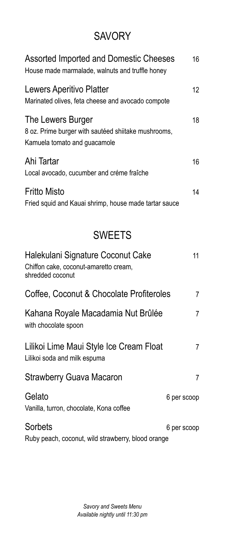# **SAVORY**

| Assorted Imported and Domestic Cheeses<br>House made marmalade, walnuts and truffle honey                | 16 |
|----------------------------------------------------------------------------------------------------------|----|
| Lewers Aperitivo Platter<br>Marinated olives, feta cheese and avocado compote                            | 12 |
| The Lewers Burger<br>8 oz. Prime burger with sautéed shiitake mushrooms,<br>Kamuela tomato and guacamole | 18 |
| Ahi Tartar<br>Local avocado, cucumber and créme fraîche                                                  | 16 |
| <b>Fritto Misto</b><br>Fried squid and Kauai shrimp, house made tartar sauce                             | 14 |

# **SWEETS**

| Halekulani Signature Coconut Cake<br>Chiffon cake, coconut-amaretto cream,<br>shredded coconut | 11             |
|------------------------------------------------------------------------------------------------|----------------|
| Coffee, Coconut & Chocolate Profiteroles                                                       | $\overline{7}$ |
| Kahana Royale Macadamia Nut Brûlée<br>with chocolate spoon                                     | $\overline{7}$ |
| Lilikoi Lime Maui Style Ice Cream Float<br>Lilikoi soda and milk espuma                        | 7              |
| <b>Strawberry Guava Macaron</b>                                                                | 7              |
| Gelato<br>Vanilla, turron, chocolate, Kona coffee                                              | 6 per scoop    |
| Sorbets<br>Ruby peach, coconut, wild strawberry, blood orange                                  | 6 per scoop    |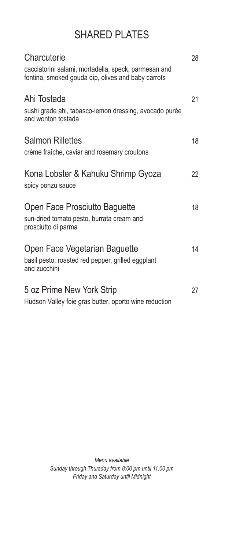# SHARED PLATES

| Charcuterie                                                                                                | 28 |
|------------------------------------------------------------------------------------------------------------|----|
| cacciatorini salami, mortadella, speck, parmesan and<br>fontina, smoked gouda dip, olives and baby carrots |    |
| Ahi Tostada<br>sushi grade ahi, tabasco-lemon dressing, avocado purée<br>and wonton tostada                | 21 |
| <b>Salmon Rillettes</b><br>crème fraîche, caviar and rosemary croutons                                     | 18 |
| Kona Lobster & Kahuku Shrimp Gyoza<br>spicy ponzu sauce                                                    | 22 |
| Open Face Prosciutto Baguette<br>sun-dried tomato pesto, burrata cream and<br>prosciutto di parma          | 18 |
| Open Face Vegetarian Baguette<br>basil pesto, roasted red pepper, grilled eggplant<br>and zucchini         | 14 |
| 5 oz Prime New York Strip<br>Hudson Valley foie gras butter, oporto wine reduction                         | 27 |